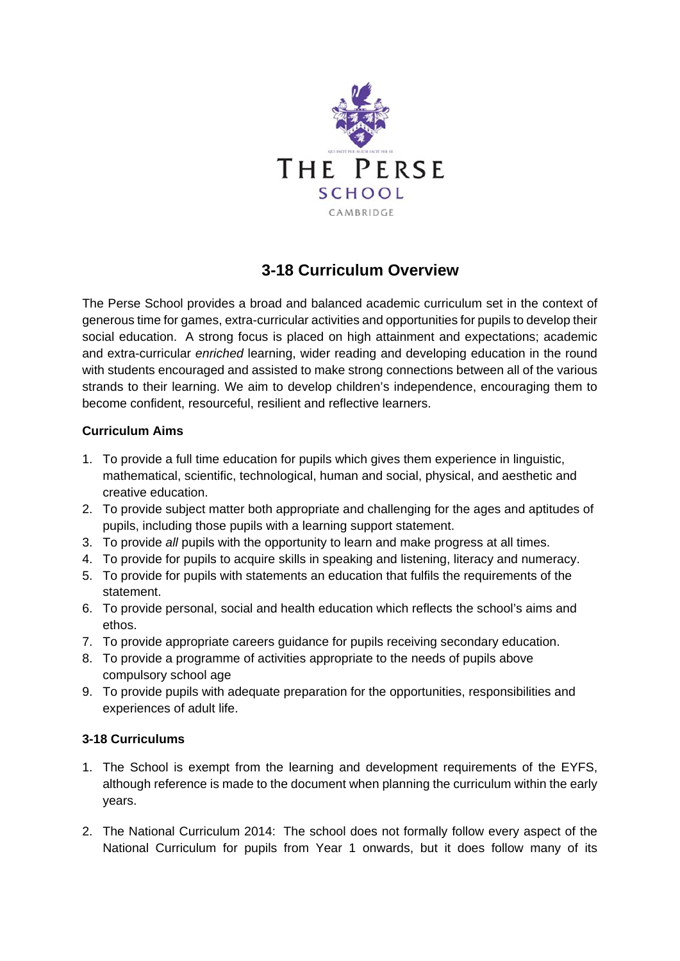

## **3-18 Curriculum Overview**

The Perse School provides a broad and balanced academic curriculum set in the context of generous time for games, extra-curricular activities and opportunities for pupils to develop their social education. A strong focus is placed on high attainment and expectations; academic and extra-curricular *enriched* learning, wider reading and developing education in the round with students encouraged and assisted to make strong connections between all of the various strands to their learning. We aim to develop children's independence, encouraging them to become confident, resourceful, resilient and reflective learners.

## **Curriculum Aims**

- 1. To provide a full time education for pupils which gives them experience in linguistic, mathematical, scientific, technological, human and social, physical, and aesthetic and creative education.
- 2. To provide subject matter both appropriate and challenging for the ages and aptitudes of pupils, including those pupils with a learning support statement.
- 3. To provide *all* pupils with the opportunity to learn and make progress at all times.
- 4. To provide for pupils to acquire skills in speaking and listening, literacy and numeracy.
- 5. To provide for pupils with statements an education that fulfils the requirements of the statement.
- 6. To provide personal, social and health education which reflects the school's aims and ethos.
- 7. To provide appropriate careers guidance for pupils receiving secondary education.
- 8. To provide a programme of activities appropriate to the needs of pupils above compulsory school age
- 9. To provide pupils with adequate preparation for the opportunities, responsibilities and experiences of adult life.

## **3-18 Curriculums**

- 1. The School is exempt from the learning and development requirements of the EYFS, although reference is made to the document when planning the curriculum within the early years.
- 2. The National Curriculum 2014: The school does not formally follow every aspect of the National Curriculum for pupils from Year 1 onwards, but it does follow many of its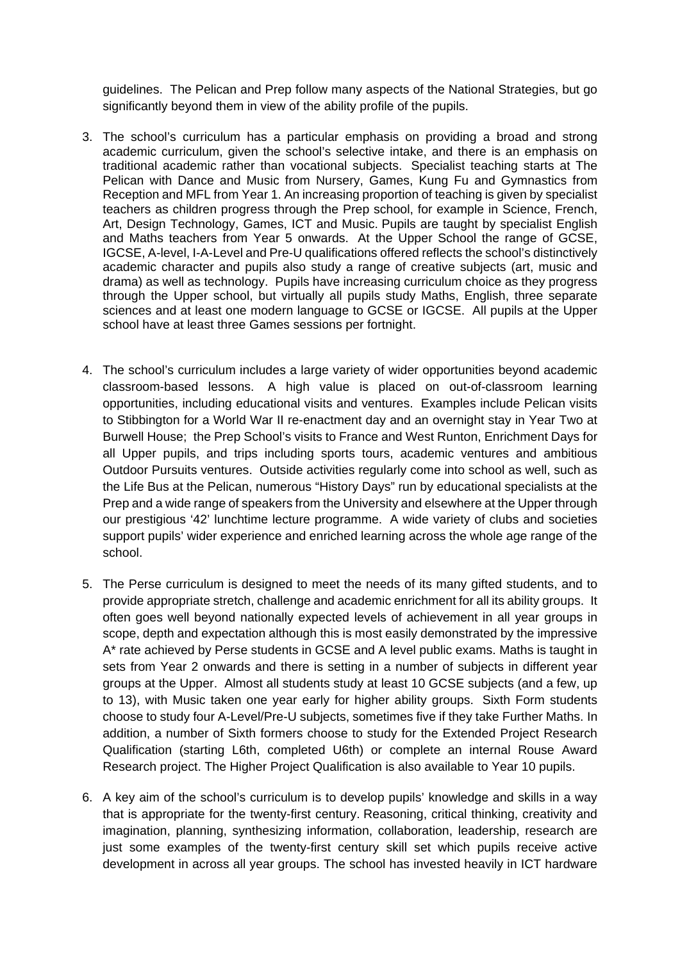guidelines. The Pelican and Prep follow many aspects of the National Strategies, but go significantly beyond them in view of the ability profile of the pupils.

- 3. The school's curriculum has a particular emphasis on providing a broad and strong academic curriculum, given the school's selective intake, and there is an emphasis on traditional academic rather than vocational subjects. Specialist teaching starts at The Pelican with Dance and Music from Nursery, Games, Kung Fu and Gymnastics from Reception and MFL from Year 1. An increasing proportion of teaching is given by specialist teachers as children progress through the Prep school, for example in Science, French, Art, Design Technology, Games, ICT and Music. Pupils are taught by specialist English and Maths teachers from Year 5 onwards. At the Upper School the range of GCSE, IGCSE, A-level, I-A-Level and Pre-U qualifications offered reflects the school's distinctively academic character and pupils also study a range of creative subjects (art, music and drama) as well as technology. Pupils have increasing curriculum choice as they progress through the Upper school, but virtually all pupils study Maths, English, three separate sciences and at least one modern language to GCSE or IGCSE. All pupils at the Upper school have at least three Games sessions per fortnight.
- 4. The school's curriculum includes a large variety of wider opportunities beyond academic classroom-based lessons. A high value is placed on out-of-classroom learning opportunities, including educational visits and ventures. Examples include Pelican visits to Stibbington for a World War II re-enactment day and an overnight stay in Year Two at Burwell House; the Prep School's visits to France and West Runton, Enrichment Days for all Upper pupils, and trips including sports tours, academic ventures and ambitious Outdoor Pursuits ventures. Outside activities regularly come into school as well, such as the Life Bus at the Pelican, numerous "History Days" run by educational specialists at the Prep and a wide range of speakers from the University and elsewhere at the Upper through our prestigious '42' lunchtime lecture programme. A wide variety of clubs and societies support pupils' wider experience and enriched learning across the whole age range of the school.
- 5. The Perse curriculum is designed to meet the needs of its many gifted students, and to provide appropriate stretch, challenge and academic enrichment for all its ability groups. It often goes well beyond nationally expected levels of achievement in all year groups in scope, depth and expectation although this is most easily demonstrated by the impressive A\* rate achieved by Perse students in GCSE and A level public exams. Maths is taught in sets from Year 2 onwards and there is setting in a number of subjects in different year groups at the Upper. Almost all students study at least 10 GCSE subjects (and a few, up to 13), with Music taken one year early for higher ability groups. Sixth Form students choose to study four A-Level/Pre-U subjects, sometimes five if they take Further Maths. In addition, a number of Sixth formers choose to study for the Extended Project Research Qualification (starting L6th, completed U6th) or complete an internal Rouse Award Research project. The Higher Project Qualification is also available to Year 10 pupils.
- 6. A key aim of the school's curriculum is to develop pupils' knowledge and skills in a way that is appropriate for the twenty-first century. Reasoning, critical thinking, creativity and imagination, planning, synthesizing information, collaboration, leadership, research are just some examples of the twenty-first century skill set which pupils receive active development in across all year groups. The school has invested heavily in ICT hardware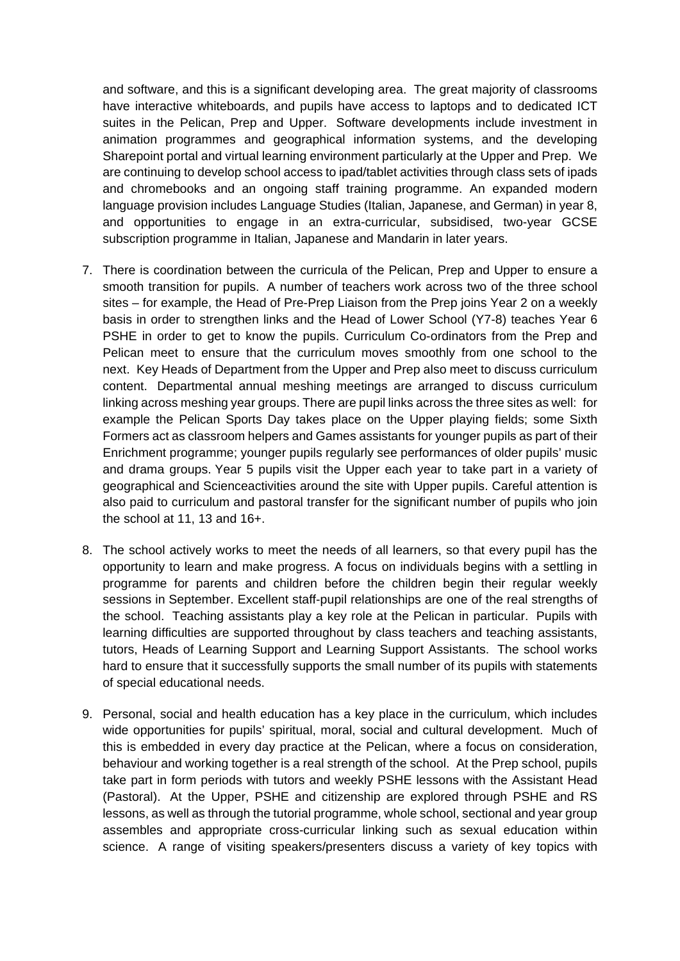and software, and this is a significant developing area. The great majority of classrooms have interactive whiteboards, and pupils have access to laptops and to dedicated ICT suites in the Pelican, Prep and Upper. Software developments include investment in animation programmes and geographical information systems, and the developing Sharepoint portal and virtual learning environment particularly at the Upper and Prep. We are continuing to develop school access to ipad/tablet activities through class sets of ipads and chromebooks and an ongoing staff training programme. An expanded modern language provision includes Language Studies (Italian, Japanese, and German) in year 8, and opportunities to engage in an extra-curricular, subsidised, two-year GCSE subscription programme in Italian, Japanese and Mandarin in later years.

- 7. There is coordination between the curricula of the Pelican, Prep and Upper to ensure a smooth transition for pupils. A number of teachers work across two of the three school sites – for example, the Head of Pre-Prep Liaison from the Prep joins Year 2 on a weekly basis in order to strengthen links and the Head of Lower School (Y7-8) teaches Year 6 PSHE in order to get to know the pupils. Curriculum Co-ordinators from the Prep and Pelican meet to ensure that the curriculum moves smoothly from one school to the next. Key Heads of Department from the Upper and Prep also meet to discuss curriculum content. Departmental annual meshing meetings are arranged to discuss curriculum linking across meshing year groups. There are pupil links across the three sites as well: for example the Pelican Sports Day takes place on the Upper playing fields; some Sixth Formers act as classroom helpers and Games assistants for younger pupils as part of their Enrichment programme; younger pupils regularly see performances of older pupils' music and drama groups. Year 5 pupils visit the Upper each year to take part in a variety of geographical and Scienceactivities around the site with Upper pupils. Careful attention is also paid to curriculum and pastoral transfer for the significant number of pupils who join the school at 11, 13 and 16+.
- 8. The school actively works to meet the needs of all learners, so that every pupil has the opportunity to learn and make progress. A focus on individuals begins with a settling in programme for parents and children before the children begin their regular weekly sessions in September. Excellent staff-pupil relationships are one of the real strengths of the school. Teaching assistants play a key role at the Pelican in particular. Pupils with learning difficulties are supported throughout by class teachers and teaching assistants, tutors, Heads of Learning Support and Learning Support Assistants. The school works hard to ensure that it successfully supports the small number of its pupils with statements of special educational needs.
- 9. Personal, social and health education has a key place in the curriculum, which includes wide opportunities for pupils' spiritual, moral, social and cultural development. Much of this is embedded in every day practice at the Pelican, where a focus on consideration, behaviour and working together is a real strength of the school. At the Prep school, pupils take part in form periods with tutors and weekly PSHE lessons with the Assistant Head (Pastoral). At the Upper, PSHE and citizenship are explored through PSHE and RS lessons, as well as through the tutorial programme, whole school, sectional and year group assembles and appropriate cross-curricular linking such as sexual education within science. A range of visiting speakers/presenters discuss a variety of key topics with